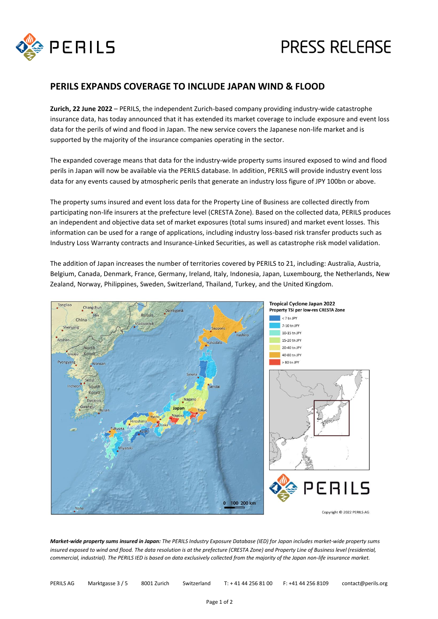

# **PRESS RELEASE**

### **PERILS EXPANDS COVERAGE TO INCLUDE JAPAN WIND & FLOOD**

**Zurich, 22 June 2022** – PERILS, the independent Zurich-based company providing industry-wide catastrophe insurance data, has today announced that it has extended its market coverage to include exposure and event loss data for the perils of wind and flood in Japan. The new service covers the Japanese non-life market and is supported by the majority of the insurance companies operating in the sector.

The expanded coverage means that data for the industry-wide property sums insured exposed to wind and flood perils in Japan will now be available via the PERILS database. In addition, PERILS will provide industry event loss data for any events caused by atmospheric perils that generate an industry loss figure of JPY 100bn or above.

The property sums insured and event loss data for the Property Line of Business are collected directly from participating non-life insurers at the prefecture level (CRESTA Zone). Based on the collected data, PERILS produces an independent and objective data set of market exposures (total sums insured) and market event losses. This information can be used for a range of applications, including industry loss-based risk transfer products such as Industry Loss Warranty contracts and Insurance-Linked Securities, as well as catastrophe risk model validation.

The addition of Japan increases the number of territories covered by PERILS to 21, including: Australia, Austria, Belgium, Canada, Denmark, France, Germany, Ireland, Italy, Indonesia, Japan, Luxembourg, the Netherlands, New Zealand, Norway, Philippines, Sweden, Switzerland, Thailand, Turkey, and the United Kingdom.



*Market-wide property sums insured in Japan: The PERILS Industry Exposure Database (IED) for Japan includes market-wide property sums insured exposed to wind and flood. The data resolution is at the prefecture (CRESTA Zone) and Property Line of Business level (residential, commercial, industrial). The PERILS IED is based on data exclusively collected from the majority of the Japan non-life insurance market.*